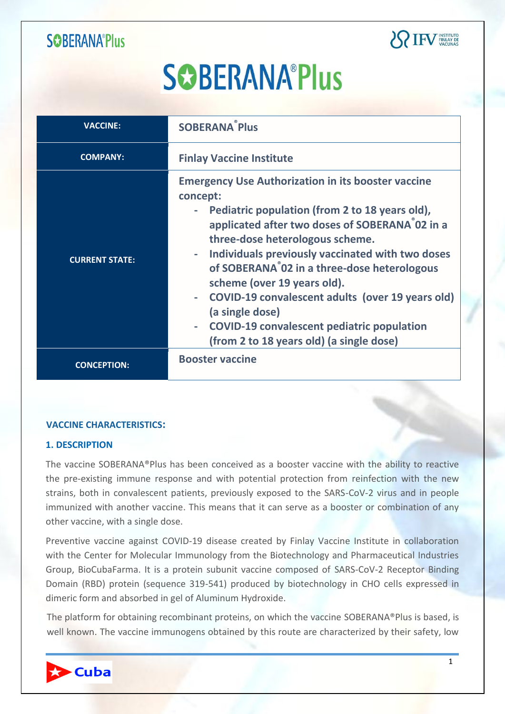

# **SCOBERANA®Plus**

| <b>VACCINE:</b>       | <b>SOBERANA<sup>®</sup>Plus</b>                                                                                                                                                                                                                                                                                                                                                                                                                                                                                                                                 |
|-----------------------|-----------------------------------------------------------------------------------------------------------------------------------------------------------------------------------------------------------------------------------------------------------------------------------------------------------------------------------------------------------------------------------------------------------------------------------------------------------------------------------------------------------------------------------------------------------------|
| <b>COMPANY:</b>       | <b>Finlay Vaccine Institute</b>                                                                                                                                                                                                                                                                                                                                                                                                                                                                                                                                 |
| <b>CURRENT STATE:</b> | <b>Emergency Use Authorization in its booster vaccine</b><br>concept:<br>Pediatric population (from 2 to 18 years old),<br>applicated after two doses of SOBERANA 02 in a<br>three-dose heterologous scheme.<br>Individuals previously vaccinated with two doses<br>of SOBERANA <sup>°</sup> 02 in a three-dose heterologous<br>scheme (over 19 years old).<br>COVID-19 convalescent adults (over 19 years old)<br>(a single dose)<br><b>COVID-19 convalescent pediatric population</b><br>$\overline{\phantom{a}}$<br>(from 2 to 18 years old) (a single dose) |
| <b>CONCEPTION:</b>    | <b>Booster vaccine</b>                                                                                                                                                                                                                                                                                                                                                                                                                                                                                                                                          |

#### **VACCINE CHARACTERISTICS:**

#### **1. DESCRIPTION**

The vaccine SOBERANA®Plus has been conceived as a booster vaccine with the ability to reactive the pre-existing immune response and with potential protection from reinfection with the new strains, both in convalescent patients, previously exposed to the SARS-CoV-2 virus and in people immunized with another vaccine. This means that it can serve as a booster or combination of any other vaccine, with a single dose.

Preventive vaccine against COVID-19 disease created by Finlay Vaccine Institute in collaboration with the Center for Molecular Immunology from the Biotechnology and Pharmaceutical Industries Group, BioCubaFarma. It is a protein subunit vaccine composed of SARS-CoV-2 Receptor Binding Domain (RBD) protein (sequence 319-541) produced by biotechnology in CHO cells expressed in dimeric form and absorbed in gel of Aluminum Hydroxide.

The platform for obtaining recombinant proteins, on which the vaccine SOBERANA®Plus is based, is well known. The vaccine immunogens obtained by this route are characterized by their safety, low

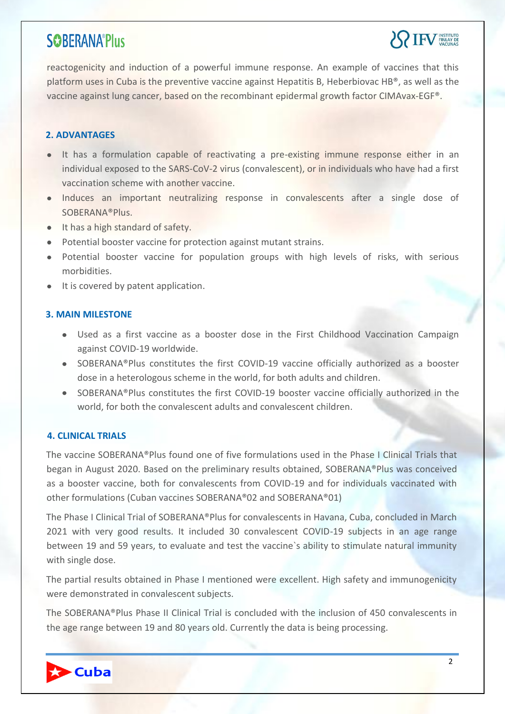

reactogenicity and induction of a powerful immune response. An example of vaccines that this platform uses in Cuba is the preventive vaccine against Hepatitis B, Heberbiovac HB®, as well as the vaccine against lung cancer, based on the recombinant epidermal growth factor CIMAvax-EGF®.

#### **2. ADVANTAGES**

- It has a formulation capable of reactivating a pre-existing immune response either in an individual exposed to the SARS-CoV-2 virus (convalescent), or in individuals who have had a first vaccination scheme with another vaccine.
- Induces an important neutralizing response in convalescents after a single dose of SOBERANA®Plus.
- It has a high standard of safety.
- Potential booster vaccine for protection against mutant strains.
- Potential booster vaccine for population groups with high levels of risks, with serious morbidities.
- It is covered by patent application.

#### **3. MAIN MILESTONE**

- Used as a first vaccine as a booster dose in the First Childhood Vaccination Campaign against COVID-19 worldwide.
- SOBERANA®Plus constitutes the first COVID-19 vaccine officially authorized as a booster dose in a heterologous scheme in the world, for both adults and children.
- SOBERANA®Plus constitutes the first COVID-19 booster vaccine officially authorized in the world, for both the convalescent adults and convalescent children.

#### **4. CLINICAL TRIALS**

The vaccine SOBERANA®Plus found one of five formulations used in the Phase I Clinical Trials that began in August 2020. Based on the preliminary results obtained, SOBERANA®Plus was conceived as a booster vaccine, both for convalescents from COVID-19 and for individuals vaccinated with other formulations (Cuban vaccines SOBERANA®02 and SOBERANA®01)

The Phase I Clinical Trial of SOBERANA®Plus for convalescents in Havana, Cuba, concluded in March 2021 with very good results. It included 30 convalescent COVID-19 subjects in an age range between 19 and 59 years, to evaluate and test the vaccine`s ability to stimulate natural immunity with single dose.

The partial results obtained in Phase I mentioned were excellent. High safety and immunogenicity were demonstrated in convalescent subjects.

The SOBERANA®Plus Phase II Clinical Trial is concluded with the inclusion of 450 convalescents in the age range between 19 and 80 years old. Currently the data is being processing.

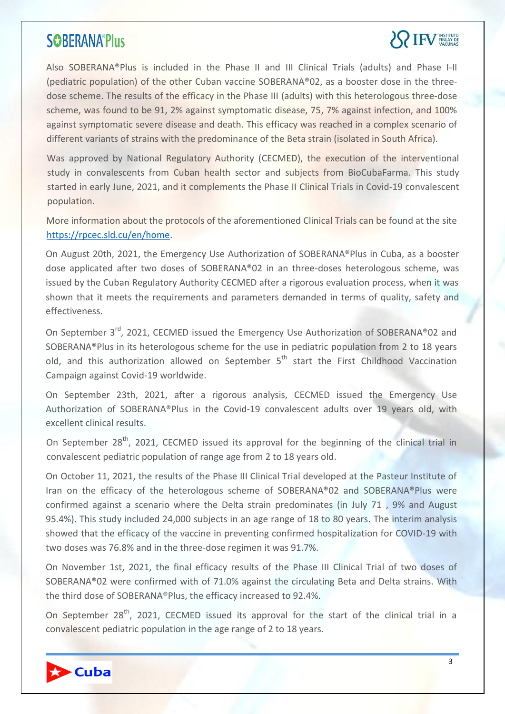# **SPIFV FINLAY DE**

Also SOBERANA®Plus is included in the Phase II and III Clinical Trials (adults) and Phase I-II (pediatric population) of the other Cuban vaccine SOBERANA®02, as a booster dose in the threedose scheme. The results of the efficacy in the Phase III (adults) with this heterologous three-dose scheme, was found to be 91, 2% against symptomatic disease, 75, 7% against infection, and 100% against symptomatic severe disease and death. This efficacy was reached in a complex scenario of different variants of strains with the predominance of the Beta strain (isolated in South Africa).

Was approved by National Regulatory Authority (CECMED), the execution of the interventional study in convalescents from Cuban health sector and subjects from BioCubaFarma. This study started in early June, 2021, and it complements the Phase II Clinical Trials in Covid-19 convalescent population.

More information about the protocols of the aforementioned Clinical Trials can be found at the site [https://rpcec.sld.cu/en/home.](https://rpcec.sld.cu/en/home)

On August 20th, 2021, the Emergency Use Authorization of SOBERANA®Plus in Cuba, as a booster dose applicated after two doses of SOBERANA®02 in an three-doses heterologous scheme, was issued by the Cuban Regulatory Authority CECMED after a rigorous evaluation process, when it was shown that it meets the requirements and parameters demanded in terms of quality, safety and effectiveness.

On September 3<sup>rd</sup>, 2021, CECMED issued the Emergency Use Authorization of SOBERANA®02 and SOBERANA®Plus in its heterologous scheme for the use in pediatric population from 2 to 18 years old, and this authorization allowed on September  $5<sup>th</sup>$  start the First Childhood Vaccination Campaign against Covid-19 worldwide.

On September 23th, 2021, after a rigorous analysis, CECMED issued the Emergency Use Authorization of SOBERANA®Plus in the Covid-19 convalescent adults over 19 years old, with excellent clinical results.

On September 28<sup>th</sup>, 2021, CECMED issued its approval for the beginning of the clinical trial in convalescent pediatric population of range age from 2 to 18 years old.

On October 11, 2021, the results of the Phase III Clinical Trial developed at the Pasteur Institute of Iran on the efficacy of the heterologous scheme of SOBERANA®02 and SOBERANA®Plus were confirmed against a scenario where the Delta strain predominates (in July 71 , 9% and August 95.4%). This study included 24,000 subjects in an age range of 18 to 80 years. The interim analysis showed that the efficacy of the vaccine in preventing confirmed hospitalization for COVID-19 with two doses was 76.8% and in the three-dose regimen it was 91.7%.

On November 1st, 2021, the final efficacy results of the Phase III Clinical Trial of two doses of SOBERANA®02 were confirmed with of 71.0% against the circulating Beta and Delta strains. With the third dose of SOBERANA®Plus, the efficacy increased to 92.4%.

On September 28<sup>th</sup>, 2021, CECMED issued its approval for the start of the clinical trial in a convalescent pediatric population in the age range of 2 to 18 years.

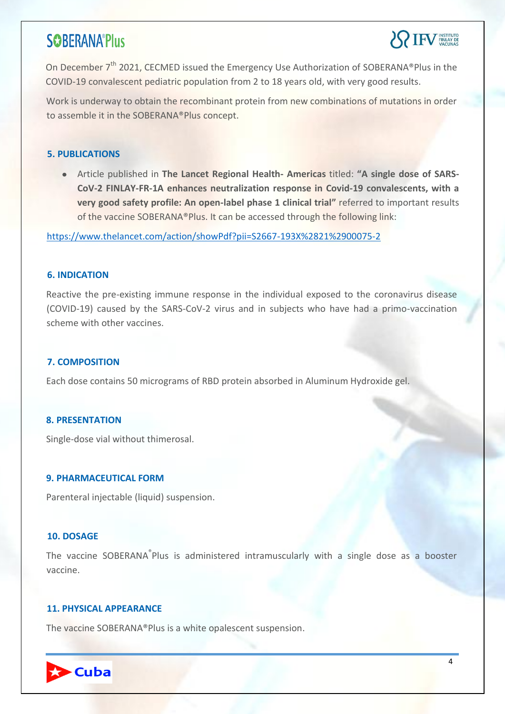

On December 7<sup>th</sup> 2021, CECMED issued the Emergency Use Authorization of SOBERANA®Plus in the COVID-19 convalescent pediatric population from 2 to 18 years old, with very good results.

Work is underway to obtain the recombinant protein from new combinations of mutations in order to assemble it in the SOBERANA®Plus concept.

#### **5. PUBLICATIONS**

Article published in **The Lancet Regional Health- Americas** titled: **"A single dose of SARS-CoV-2 FINLAY-FR-1A enhances neutralization response in Covid-19 convalescents, with a very good safety profile: An open-label phase 1 clinical trial"** referred to important results of the vaccine SOBERANA®Plus. It can be accessed through the following link:

<https://www.thelancet.com/action/showPdf?pii=S2667-193X%2821%2900075-2>

#### **6. INDICATION**

Reactive the pre-existing immune response in the individual exposed to the coronavirus disease (COVID-19) caused by the SARS-CoV-2 virus and in subjects who have had a primo-vaccination scheme with other vaccines.

#### **7. COMPOSITION**

Each dose contains 50 micrograms of RBD protein absorbed in Aluminum Hydroxide gel.

#### **8. PRESENTATION**

Single-dose vial without thimerosal.

#### **9. PHARMACEUTICAL FORM**

Parenteral injectable (liquid) suspension.

#### **10. DOSAGE**

The vaccine SOBERANA<sup>®</sup>Plus is administered intramuscularly with a single dose as a booster vaccine.

#### **11. PHYSICAL APPEARANCE**

The vaccine SOBERANA®Plus is a white opalescent suspension.